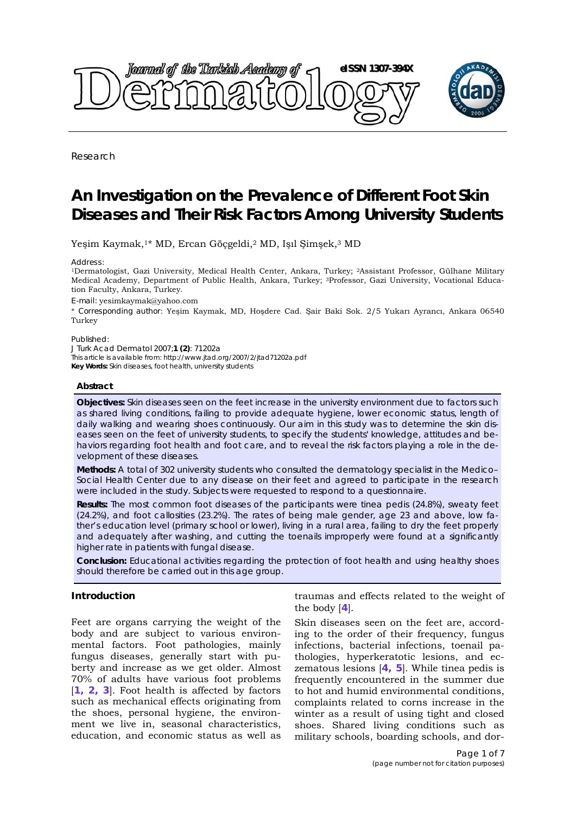<span id="page-0-0"></span>

Research

# **An Investigation on the Prevalence of Different Foot Skin Diseases and Their Risk Factors Among University Students**

Yeşim Kaymak,1\* MD, Ercan Göçgeldi,2 MD, Işıl Şimşek,3 MD

*Address:* 

1Dermatologist, Gazi University, Medical Health Center, Ankara, Turkey; 2Assistant Professor, Gülhane Military Medical Academy, Department of Public Health, Ankara, Turkey; 3Professor, Gazi University, Vocational Education Faculty, Ankara, Turkey.

*E-mail:* yesimkaymak@yahoo.com

\* *Corresponding author*: Yeşim Kaymak, MD, Hoşdere Cad. Şair Baki Sok. 2/5 Yukarı Ayrancı, Ankara 06540 Turkey

Published:

*J Turk Acad Dermatol* 2007;**1 (2)**: 71202a This article is available from: http://www.jtad.org/2007/2/jtad71202a.pdf **Key Words:** Skin diseases, foot health, university students

#### **Abstract**

**Objectives:** Skin diseases seen on the feet increase in the university environment due to factors such as shared living conditions, failing to provide adequate hygiene, lower economic status, length of daily walking and wearing shoes continuously. Our aim in this study was to determine the skin diseases seen on the feet of university students, to specify the students' knowledge, attitudes and behaviors regarding foot health and foot care, and to reveal the risk factors playing a role in the development of these diseases.

**Methods:** A total of 302 university students who consulted the dermatology specialist in the Medico– Social Health Center due to any disease on their feet and agreed to participate in the research were included in the study. Subjects were requested to respond to a questionnaire.

**Results:** The most common foot diseases of the participants were tinea pedis (24.8%), sweaty feet (24.2%), and foot callosities (23.2%). The rates of being male gender, age 23 and above, low father's education level (primary school or lower), living in a rural area, failing to dry the feet properly and adequately after washing, and cutting the toenails improperly were found at a significantly higher rate in patients with fungal disease.

**Conclusion:** Educational activities regarding the protection of foot health and using healthy shoes should therefore be carried out in this age group.

## **Introduction**

Feet are organs carrying the weight of the body and are subject to various environmental factors. Foot pathologies, mainly fungus diseases, generally start with puberty and increase as we get older. Almost 70% of adults have various foot problems [**[1, 2,](#page-6-0) [3](#page-6-0)**]. Foot health is affected by factors such as mechanical effects originating from the shoes, personal hygiene, the environment we live in, seasonal characteristics, education, and economic status as well as

traumas and effects related to the weight of the body [**[4](#page-6-0)**].

Skin diseases seen on the feet are, according to the order of their frequency, fungus infections, bacterial infections, toenail pathologies, hyperkeratotic lesions, and eczematous lesions [**[4, 5](#page-6-0)**]. While tinea pedis is frequently encountered in the summer due to hot and humid environmental conditions, complaints related to corns increase in the winter as a result of using tight and closed shoes. Shared living conditions such as military schools, boarding schools, and dor-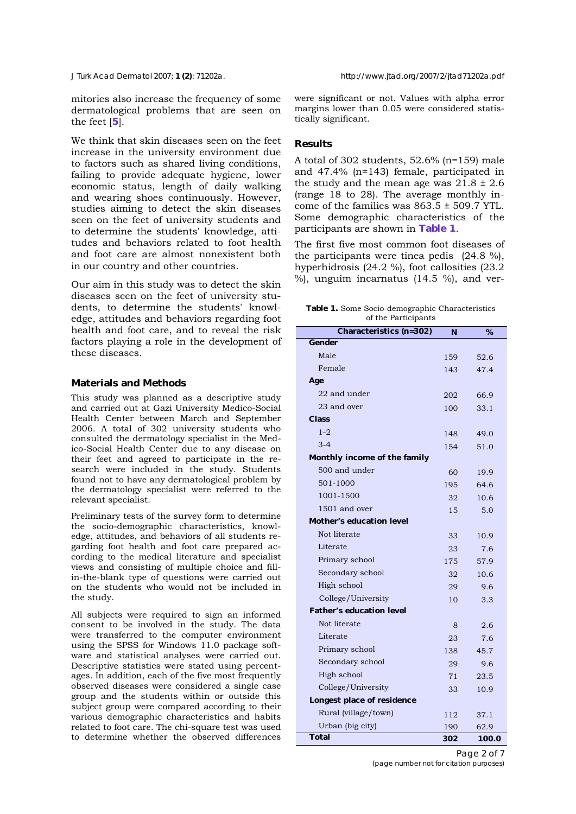<span id="page-1-0"></span>

mitories also increase the frequency of some dermatological problems that are seen on the feet [**[5](#page-6-0)**].

We think that skin diseases seen on the feet increase in the university environment due to factors such as shared living conditions, failing to provide adequate hygiene, lower economic status, length of daily walking and wearing shoes continuously. However, studies aiming to detect the skin diseases seen on the feet of university students and to determine the students' knowledge, attitudes and behaviors related to foot health and foot care are almost nonexistent both in our country and other countries.

Our aim in this study was to detect the skin diseases seen on the feet of university students, to determine the students' knowledge, attitudes and behaviors regarding foot health and foot care, and to reveal the risk factors playing a role in the development of these diseases.

### **Materials and Methods**

This study was planned as a descriptive study and carried out at Gazi University Medico-Social Health Center between March and September 2006. A total of 302 university students who consulted the dermatology specialist in the Medico-Social Health Center due to any disease on their feet and agreed to participate in the research were included in the study. Students found not to have any dermatological problem by the dermatology specialist were referred to the relevant specialist.

Preliminary tests of the survey form to determine the socio-demographic characteristics, knowledge, attitudes, and behaviors of all students regarding foot health and foot care prepared according to the medical literature and specialist views and consisting of multiple choice and fillin-the-blank type of questions were carried out on the students who would not be included in the study.

All subjects were required to sign an informed consent to be involved in the study. The data were transferred to the computer environment using the SPSS for Windows 11.0 package software and statistical analyses were carried out. Descriptive statistics were stated using percentages. In addition, each of the five most frequently observed diseases were considered a single case group and the students within or outside this subject group were compared according to their various demographic characteristics and habits related to foot care. The chi-square test was used to determine whether the observed differences were significant or not. Values with alpha error margins lower than 0.05 were considered statistically significant.

## **Results**

A total of 302 students, 52.6% (n=159) male and 47.4% (n=143) female, participated in the study and the mean age was  $21.8 \pm 2.6$ (range 18 to 28). The average monthly income of the families was  $863.5 \pm 509.7$  YTL. Some demographic characteristics of the participants are shown in **Table 1**.

The first five most common foot diseases of the participants were tinea pedis (24.8 %), hyperhidrosis (24.2 %), foot callosities (23.2 %), unguim incarnatus (14.5 %), and ver-

|  |  |                     | <b>Table 1.</b> Some Socio-demographic Characteristics |
|--|--|---------------------|--------------------------------------------------------|
|  |  | of the Participants |                                                        |

| <b>Characteristics (n=302)</b>  | N   | %     |
|---------------------------------|-----|-------|
| <b>Gender</b>                   |     |       |
| Male                            | 159 | 52.6  |
| Female                          | 143 | 47.4  |
| Age                             |     |       |
| 22 and under                    | 202 | 66.9  |
| 23 and over                     | 100 | 33.1  |
| <b>Class</b>                    |     |       |
| $1 - 2$                         | 148 | 49.0  |
| $3 - 4$                         | 154 | 51.0  |
| Monthly income of the family    |     |       |
| 500 and under                   | 60  | 19.9  |
| 501-1000                        | 195 | 64.6  |
| 1001-1500                       | 32  | 10.6  |
| 1501 and over                   | 15  | 5.0   |
| <b>Mother's education level</b> |     |       |
| Not literate                    | 33  | 10.9  |
| Literate                        | 23  | 7.6   |
| Primary school                  | 175 | 57.9  |
| Secondary school                | 32  | 10.6  |
| High school                     | 29  | 9.6   |
| College/University              | 10  | 3.3   |
| <b>Father's education level</b> |     |       |
| Not literate                    | 8   | 2.6   |
| Literate                        | 23  | 7.6   |
| Primary school                  | 138 | 45.7  |
| Secondary school                | 29  | 9.6   |
| High school                     | 71  | 23.5  |
| College/University              | 33  | 10.9  |
| Longest place of residence      |     |       |
| Rural (village/town)            | 112 | 37.1  |
| Urban (big city)                | 190 | 62.9  |
| <b>Total</b>                    | 302 | 100.0 |

Page 2 of 7 *(page number not for citation purposes)*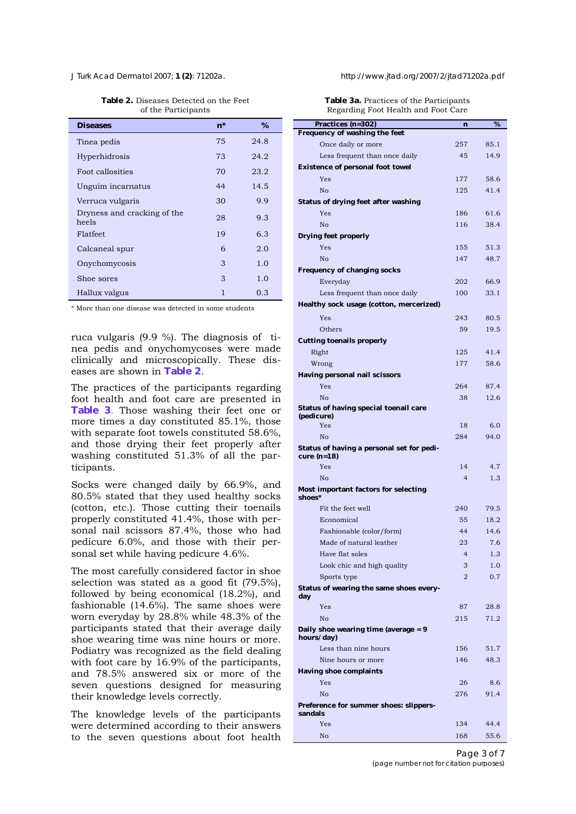| <b>Diseases</b>                      | $n^*$ | $\%$ |
|--------------------------------------|-------|------|
| Tinea pedis                          | 75    | 24.8 |
| Hyperhidrosis                        | 73    | 24.2 |
| Foot callosities                     | 70    | 23.2 |
| Unguim incarnatus                    | 44    | 14.5 |
| Verruca vulgaris                     | 30    | 9.9  |
| Dryness and cracking of the<br>heels | 28    | 9.3  |
| Flatfeet                             | 19    | 6.3  |
| Calcaneal spur                       | 6     | 2.0  |
| Onychomycosis                        | 3     | 1.0  |
| Shoe sores                           | 3     | 1.0  |
| Hallux valgus                        | 1     | 0.3  |

**Table 2.** Diseases Detected on the Feet of the Participants

\* More than one disease was detected in some students

ruca vulgaris (9.9 %). The diagnosis of tinea pedis and onychomycoses were made clinically and microscopically. These diseases are shown in **Table 2**.

The practices of the participants regarding foot health and foot care are presented in **Table 3**. Those washing their feet one or more times a day constituted 85.1%, those with separate foot towels constituted 58.6%, and those drying their feet properly after washing constituted 51.3% of all the participants.

Socks were changed daily by 66.9%, and 80.5% stated that they used healthy socks (cotton, etc.). Those cutting their toenails properly constituted 41.4%, those with personal nail scissors 87.4%, those who had pedicure 6.0%, and those with their personal set while having pedicure 4.6%.

The most carefully considered factor in shoe selection was stated as a good fit (79.5%), followed by being economical (18.2%), and fashionable (14.6%). The same shoes were worn everyday by 28.8% while 48.3% of the participants stated that their average daily shoe wearing time was nine hours or more. Podiatry was recognized as the field dealing with foot care by 16.9% of the participants, and 78.5% answered six or more of the seven questions designed for measuring their knowledge levels correctly.

The knowledge levels of the participants were determined according to their answers to the seven questions about foot health

*J Turk Acad Dermatol* 2007; **1 (2)**: 71202a. http://www.jtad.org/2007/2/jtad71202a.pdf

**Table 3a.** Practices of the Participants Regarding Foot Health and Foot Care

| Practices (n=302)                                          | $\mathbf n$    | %    |
|------------------------------------------------------------|----------------|------|
| Frequency of washing the feet                              |                |      |
| Once daily or more                                         | 257            | 85.1 |
| Less frequent than once daily                              | 45             | 14.9 |
| <b>Existence of personal foot towel</b>                    |                |      |
| Yes                                                        | 177            | 58.6 |
| No                                                         | 125            | 41.4 |
| <b>Status of drying feet after washing</b>                 |                |      |
| Yes                                                        | 186            | 61.6 |
| N <sub>o</sub>                                             | 116            | 38.4 |
| <b>Drying feet properly</b>                                |                |      |
| Yes                                                        | 155            | 51.3 |
|                                                            |                |      |
| N <sub>o</sub>                                             | 147            | 48.7 |
| <b>Frequency of changing socks</b>                         |                |      |
| Everyday                                                   | 202            | 66.9 |
| Less frequent than once daily                              | 100            | 33.1 |
| Healthy sock usage (cotton, mercerized)                    |                |      |
| Yes                                                        | 243            | 80.5 |
| Others                                                     | 59             | 19.5 |
| <b>Cutting toenails properly</b>                           |                |      |
| Right                                                      | 125            | 41.4 |
| Wrong                                                      | 177            | 58.6 |
| Having personal nail scissors                              |                |      |
| Yes                                                        | 264            | 87.4 |
| No                                                         | 38             | 12.6 |
| Status of having special toenail care                      |                |      |
| (pedicure)                                                 |                |      |
| Yes                                                        | 18             | 6.0  |
| No                                                         | 284            | 94.0 |
| Status of having a personal set for pedi-<br>cure $(n=18)$ |                |      |
| Yes                                                        | 14             | 4.7  |
| No                                                         | $\overline{4}$ | 1.3  |
| Most important factors for selecting<br>shoes*             |                |      |
| Fit the feet well                                          | 240            | 79.5 |
| Economical                                                 | 55             | 18.2 |
| Fashionable (color/form)                                   | 44             | 14.6 |
| Made of natural leather                                    | 23             | 7.6  |
| Have flat soles                                            | $\overline{4}$ | 1.3  |
| Look chic and high quality                                 | 3              | 1.0  |
| Sports type                                                | $\overline{2}$ | 0.7  |
| Status of wearing the same shoes every-                    |                |      |
| day                                                        |                |      |
| Yes                                                        | 87             | 28.8 |
| N <sub>o</sub>                                             | 215            | 71.2 |
| Daily shoe wearing time (average $= 9$<br>hours/day)       |                |      |
| Less than nine hours                                       | 156            | 51.7 |
| Nine hours or more                                         | 146            | 48.3 |
| <b>Having shoe complaints</b>                              |                |      |
| Yes                                                        | 26             | 8.6  |
| N <sub>o</sub>                                             | 276            | 91.4 |
| Preference for summer shoes: slippers-                     |                |      |
| sandals<br>Yes                                             |                |      |
|                                                            | 134            | 44.4 |
| N <sub>o</sub>                                             | 168            | 55.6 |

Page 3 of 7 *(page number not for citation purposes)*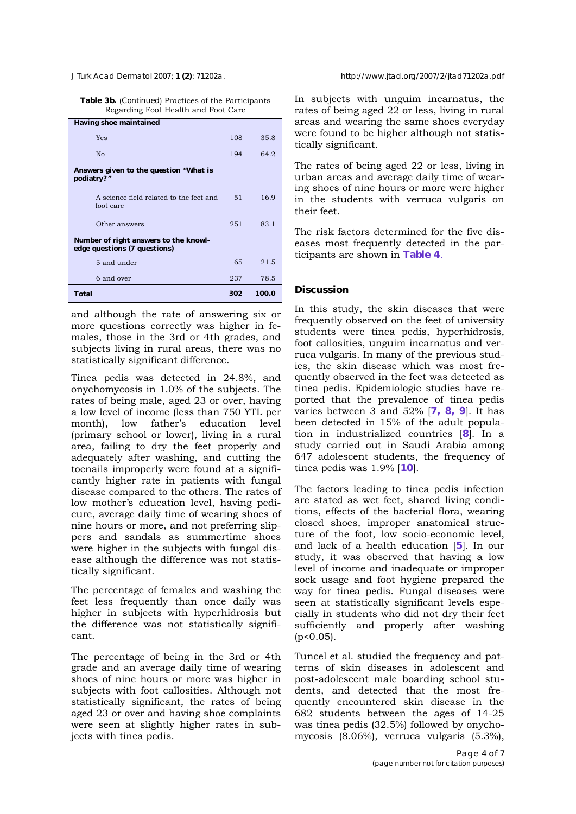<span id="page-3-0"></span>**Table 3b.** (*Continued*) Practices of the Participants Regarding Foot Health and Foot Care

| <b>Total</b>                                                          | 302 | 100.0 |
|-----------------------------------------------------------------------|-----|-------|
| 6 and over                                                            | 237 | 78.5  |
| 5 and under                                                           | 65  | 21.5  |
| Number of right answers to the knowl-<br>edge questions (7 questions) |     |       |
| Other answers                                                         | 251 | 83.1  |
| A science field related to the feet and<br>foot care                  | 51  | 16.9  |
| Answers given to the question "What is<br>podiatry?"                  |     |       |
| N <sub>0</sub>                                                        | 194 | 64.2  |
| Yes                                                                   | 108 | 35.8  |
| <b>Having shoe maintained</b>                                         |     |       |

and although the rate of answering six or more questions correctly was higher in females, those in the 3rd or 4th grades, and subjects living in rural areas, there was no statistically significant difference.

Tinea pedis was detected in 24.8%, and onychomycosis in 1.0% of the subjects. The rates of being male, aged 23 or over, having a low level of income (less than 750 YTL per month), low father's education level (primary school or lower), living in a rural area, failing to dry the feet properly and adequately after washing, and cutting the toenails improperly were found at a significantly higher rate in patients with fungal disease compared to the others. The rates of low mother's education level, having pedicure, average daily time of wearing shoes of nine hours or more, and not preferring slippers and sandals as summertime shoes were higher in the subjects with fungal disease although the difference was not statistically significant.

The percentage of females and washing the feet less frequently than once daily was higher in subjects with hyperhidrosis but the difference was not statistically significant.

The percentage of being in the 3rd or 4th grade and an average daily time of wearing shoes of nine hours or more was higher in subjects with foot callosities. Although not statistically significant, the rates of being aged 23 or over and having shoe complaints were seen at slightly higher rates in subjects with tinea pedis.

In subjects with unguim incarnatus, the rates of being aged 22 or less, living in rural areas and wearing the same shoes everyday were found to be higher although not statistically significant.

The rates of being aged 22 or less, living in urban areas and average daily time of wearing shoes of nine hours or more were higher in the students with verruca vulgaris on their feet.

The risk factors determined for the five diseases most frequently detected in the participants are shown in **[Table 4](#page-4-0)**.

### **Discussion**

In this study, the skin diseases that were frequently observed on the feet of university students were tinea pedis, hyperhidrosis, foot callosities, unguim incarnatus and verruca vulgaris. In many of the previous studies, the skin disease which was most frequently observed in the feet was detected as tinea pedis. Epidemiologic studies have reported that the prevalence of tinea pedis varies between 3 and 52% [**[7,](#page-6-0) [8,](#page-6-0) [9](#page-6-0)**]. It has been detected in 15% of the adult population in industrialized countries [**[8](#page-6-0)**]. In a study carried out in Saudi Arabia among 647 adolescent students, the frequency of tinea pedis was 1.9% [**[10](#page-6-0)**].

The factors leading to tinea pedis infection are stated as wet feet, shared living conditions, effects of the bacterial flora, wearing closed shoes, improper anatomical structure of the foot, low socio-economic level, and lack of a health education [**[5](#page-6-0)**]. In our study, it was observed that having a low level of income and inadequate or improper sock usage and foot hygiene prepared the way for tinea pedis. Fungal diseases were seen at statistically significant levels especially in students who did not dry their feet sufficiently and properly after washing (p<0.05).

Tuncel et al. studied the frequency and patterns of skin diseases in adolescent and post-adolescent male boarding school students, and detected that the most frequently encountered skin disease in the 682 students between the ages of 14-25 was tinea pedis (32.5%) followed by onychomycosis (8.06%), verruca vulgaris (5.3%),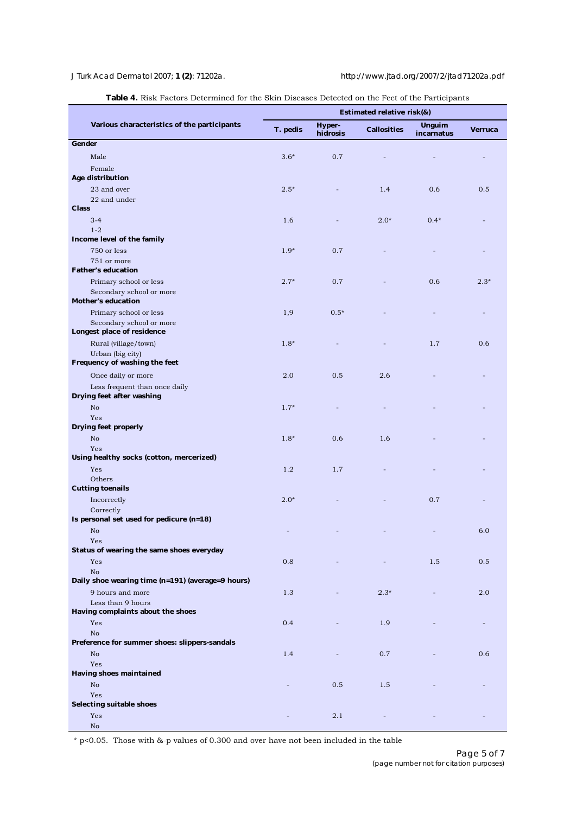<span id="page-4-0"></span>

|                                                        | I actors Determined for the SKIII Diseases Detected on the Feet of the Farticipants<br><b>Estimated relative risk(&amp;)</b> |                    |                    |                             |                |  |
|--------------------------------------------------------|------------------------------------------------------------------------------------------------------------------------------|--------------------|--------------------|-----------------------------|----------------|--|
| Various characteristics of the participants            | T. pedis                                                                                                                     | Hyper-<br>hidrosis | <b>Callosities</b> | <b>Unguim</b><br>incarnatus | <b>Verruca</b> |  |
| Gender                                                 |                                                                                                                              |                    |                    |                             |                |  |
| Male                                                   | $3.6*$                                                                                                                       | 0.7                |                    |                             |                |  |
| Female<br>Age distribution                             |                                                                                                                              |                    |                    |                             |                |  |
| 23 and over                                            | $2.5*$                                                                                                                       |                    | 1.4                | 0.6                         | 0.5            |  |
| 22 and under                                           |                                                                                                                              |                    |                    |                             |                |  |
| <b>Class</b>                                           |                                                                                                                              |                    |                    |                             |                |  |
| $3 - 4$<br>$1 - 2$                                     | 1.6                                                                                                                          |                    | $2.0*$             | $0.4*$                      |                |  |
| Income level of the family                             |                                                                                                                              |                    |                    |                             |                |  |
| 750 or less                                            | $1.9*$                                                                                                                       | 0.7                |                    |                             |                |  |
| 751 or more                                            |                                                                                                                              |                    |                    |                             |                |  |
| <b>Father's education</b>                              | $2.7*$                                                                                                                       | 0.7                |                    |                             |                |  |
| Primary school or less<br>Secondary school or more     |                                                                                                                              |                    |                    | 0.6                         | $2.3*$         |  |
| <b>Mother's education</b>                              |                                                                                                                              |                    |                    |                             |                |  |
| Primary school or less                                 | 1,9                                                                                                                          | $0.5*$             |                    |                             |                |  |
| Secondary school or more<br>Longest place of residence |                                                                                                                              |                    |                    |                             |                |  |
| Rural (village/town)                                   | $1.8*$                                                                                                                       |                    |                    | 1.7                         | 0.6            |  |
| Urban (big city)                                       |                                                                                                                              |                    |                    |                             |                |  |
| Frequency of washing the feet                          |                                                                                                                              |                    |                    |                             |                |  |
| Once daily or more                                     | 2.0                                                                                                                          | 0.5                | 2.6                |                             |                |  |
| Less frequent than once daily                          |                                                                                                                              |                    |                    |                             |                |  |
| Drying feet after washing<br>No                        | $1.7*$                                                                                                                       |                    |                    |                             |                |  |
| Yes                                                    |                                                                                                                              |                    |                    |                             |                |  |
| <b>Drying feet properly</b>                            |                                                                                                                              |                    |                    |                             |                |  |
| No                                                     | $1.8*$                                                                                                                       | 0.6                | 1.6                |                             |                |  |
| Yes<br>Using healthy socks (cotton, mercerized)        |                                                                                                                              |                    |                    |                             |                |  |
| Yes                                                    | 1.2                                                                                                                          | 1.7                |                    |                             |                |  |
| Others                                                 |                                                                                                                              |                    |                    |                             |                |  |
| <b>Cutting toenails</b>                                |                                                                                                                              |                    |                    |                             |                |  |
| Incorrectly                                            | $2.0*$                                                                                                                       |                    |                    | 0.7                         |                |  |
| Correctly<br>Is personal set used for pedicure (n=18)  |                                                                                                                              |                    |                    |                             |                |  |
| No                                                     |                                                                                                                              |                    |                    |                             | 6.0            |  |
| Yes                                                    |                                                                                                                              |                    |                    |                             |                |  |
| Status of wearing the same shoes everyday              |                                                                                                                              |                    |                    |                             |                |  |
| Yes<br>No                                              | 0.8                                                                                                                          |                    |                    | 1.5                         | 0.5            |  |
| Daily shoe wearing time (n=191) (average=9 hours)      |                                                                                                                              |                    |                    |                             |                |  |
| 9 hours and more                                       | 1.3                                                                                                                          |                    | $2.3*$             |                             | 2.0            |  |
| Less than 9 hours                                      |                                                                                                                              |                    |                    |                             |                |  |
| Having complaints about the shoes                      |                                                                                                                              |                    |                    |                             |                |  |
| Yes<br>No                                              | 0.4                                                                                                                          |                    | 1.9                |                             |                |  |
| Preference for summer shoes: slippers-sandals          |                                                                                                                              |                    |                    |                             |                |  |
| No                                                     | 1.4                                                                                                                          |                    | 0.7                |                             | 0.6            |  |
| Yes                                                    |                                                                                                                              |                    |                    |                             |                |  |
| <b>Having shoes maintained</b><br>No                   |                                                                                                                              | 0.5                | 1.5                |                             |                |  |
| Yes                                                    |                                                                                                                              |                    |                    |                             |                |  |
| <b>Selecting suitable shoes</b>                        |                                                                                                                              |                    |                    |                             |                |  |
| Yes                                                    |                                                                                                                              | 2.1                |                    |                             |                |  |
| $\rm No$                                               |                                                                                                                              |                    |                    |                             |                |  |

**Table 4.** [Risk Factors Determined for the Skin Diseases Detected on the Feet of the Participants](#page-3-0)

\* p<0.05. Those with &-p values of 0.300 and over have not been included in the table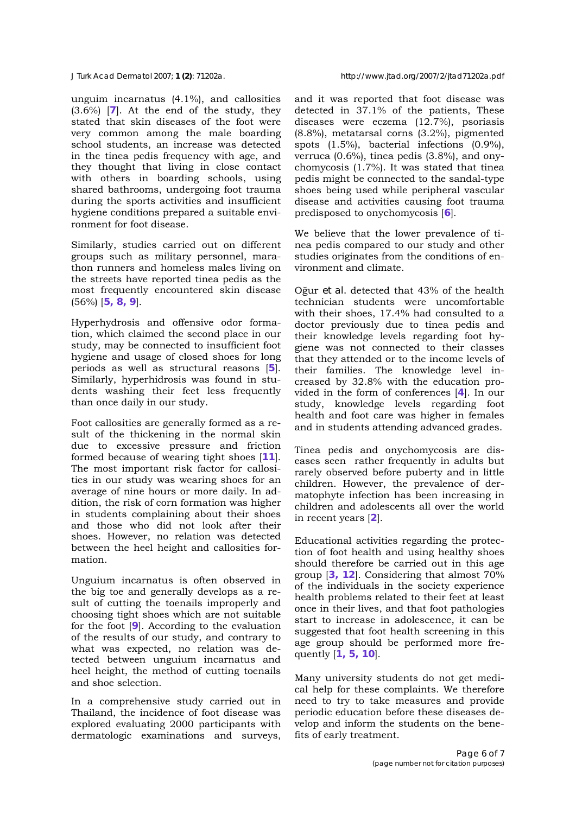<span id="page-5-0"></span>

unguim incarnatus (4.1%), and callosities (3.6%) [**[7](#page-6-0)**]. At the end of the study, they stated that skin diseases of the foot were very common among the male boarding school students, an increase was detected in the tinea pedis frequency with age, and they thought that living in close contact with others in boarding schools, using shared bathrooms, undergoing foot trauma during the sports activities and insufficient hygiene conditions prepared a suitable environment for foot disease.

Similarly, studies carried out on different groups such as military personnel, marathon runners and homeless males living on the streets have reported tinea pedis as the most frequently encountered skin disease (56%) [**[5,](#page-6-0) [8, 9](#page-6-0)**].

Hyperhydrosis and offensive odor formation, which claimed the second place in our study, may be connected to insufficient foot hygiene and usage of closed shoes for long periods as well as structural reasons [**[5](#page-6-0)**]. Similarly, hyperhidrosis was found in students washing their feet less frequently than once daily in our study.

Foot callosities are generally formed as a result of the thickening in the normal skin due to excessive pressure and friction formed because of wearing tight shoes [**[11](#page-6-0)**]. The most important risk factor for callosities in our study was wearing shoes for an average of nine hours or more daily. In addition, the risk of corn formation was higher in students complaining about their shoes and those who did not look after their shoes. However, no relation was detected between the heel height and callosities formation.

Unguium incarnatus is often observed in the big toe and generally develops as a result of cutting the toenails improperly and choosing tight shoes which are not suitable for the foot [**[9](#page-6-0)**]. According to the evaluation of the results of our study, and contrary to what was expected, no relation was detected between unguium incarnatus and heel height, the method of cutting toenails and shoe selection.

In a comprehensive study carried out in Thailand, the incidence of foot disease was explored evaluating 2000 participants with dermatologic examinations and surveys,

and it was reported that foot disease was detected in 37.1% of the patients, These diseases were eczema (12.7%), psoriasis (8.8%), metatarsal corns (3.2%), pigmented spots (1.5%), bacterial infections (0.9%), verruca (0.6%), tinea pedis (3.8%), and onychomycosis (1.7%). It was stated that tinea pedis might be connected to the sandal-type shoes being used while peripheral vascular disease and activities causing foot trauma predisposed to onychomycosis [**[6](#page-6-0)**].

We believe that the lower prevalence of tinea pedis compared to our study and other studies originates from the conditions of environment and climate.

Oğur *et al.* detected that 43% of the health technician students were uncomfortable with their shoes, 17.4% had consulted to a doctor previously due to tinea pedis and their knowledge levels regarding foot hygiene was not connected to their classes that they attended or to the income levels of their families. The knowledge level increased by 32.8% with the education provided in the form of conferences [**[4](#page-6-0)**]. In our study, knowledge levels regarding foot health and foot care was higher in females and in students attending advanced grades.

Tinea pedis and onychomycosis are diseases seen rather frequently in adults but rarely observed before puberty and in little children. However, the prevalence of dermatophyte infection has been increasing in children and adolescents all over the world in recent years [**[2](#page-6-0)**].

Educational activities regarding the protection of foot health and using healthy shoes should therefore be carried out in this age group [**[3, 12](#page-6-0)**]. Considering that almost 70% of the individuals in the society experience health problems related to their feet at least once in their lives, and that foot pathologies start to increase in adolescence, it can be suggested that foot health screening in this age group should be performed more frequently [**[1,](#page-6-0) [5, 10](#page-6-0)**].

Many university students do not get medical help for these complaints. We therefore need to try to take measures and provide periodic education before these diseases develop and inform the students on the benefits of early treatment.